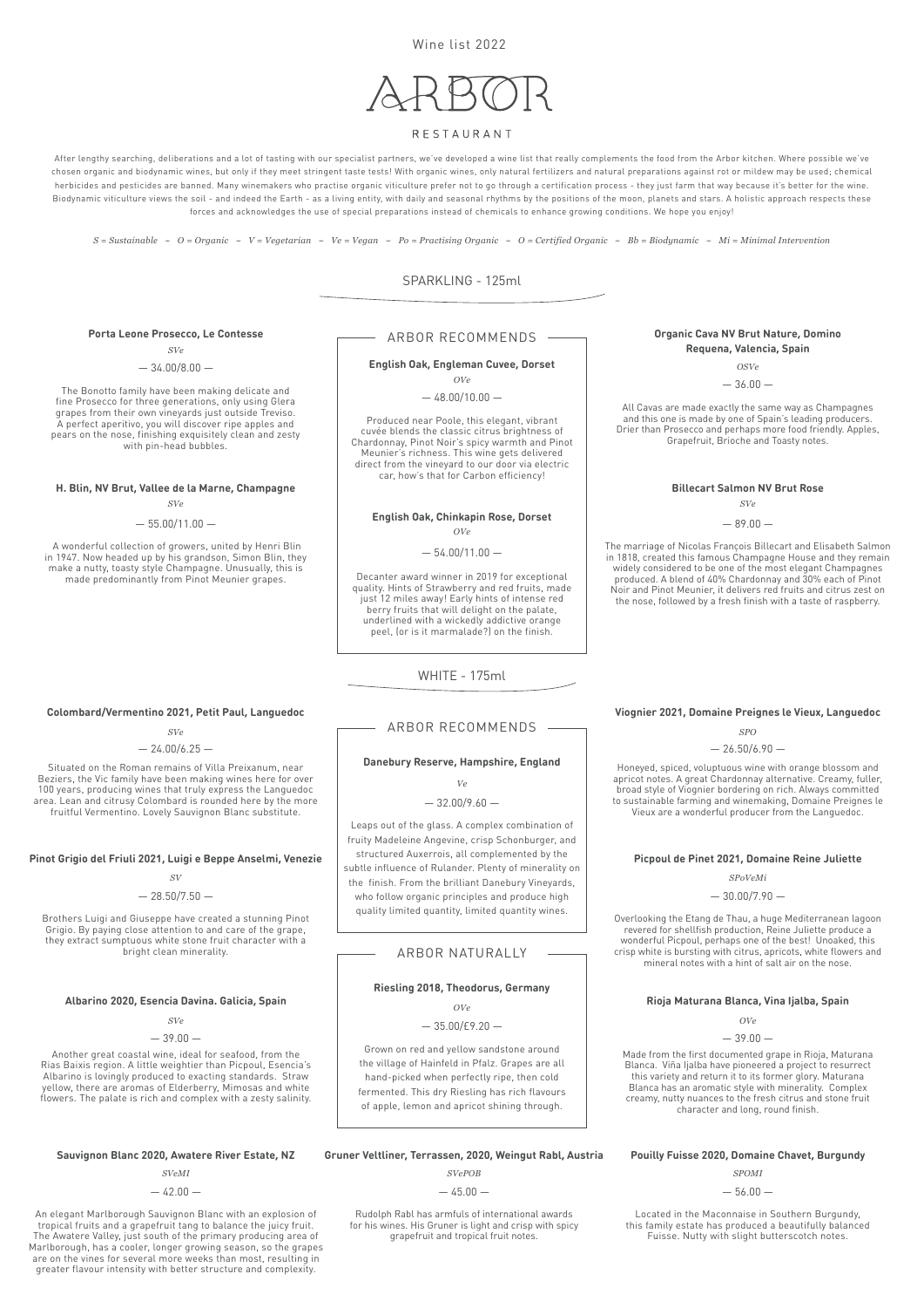After lengthy searching, deliberations and a lot of tasting with our specialist partners, we've developed a wine list that really complements the food from the Arbor kitchen. Where possible we've chosen organic and biodynamic wines, but only if they meet stringent taste tests! With organic wines, only natural fertilizers and natural preparations against rot or mildew may be used; chemical herbicides and pesticides are banned. Many winemakers who practise organic viticulture prefer not to go through a certification process - they just farm that way because it's better for the wine. Biodynamic viticulture views the soil - and indeed the Earth - as a living entity, with daily and seasonal rhythms by the positions of the moon, planets and stars. A holistic approach respects these forces and acknowledges the use of special preparations instead of chemicals to enhance growing conditions. We hope you enjoy!

Wine list 2022

# RESTAURANT

SPARKLING - 125ml

WHITE - 175ml

# ARBOR RECOMMENDS

# ARBOR RECOMMENDS

# ARBOR NATURALLY

### **H. Blin, NV Brut, Vallee de la Marne, Champagne**

### $-55.00/11.00 -$

**Pinot Grigio del Friuli 2021, Luigi e Beppe Anselmi, Venezie**

# **Organic Cava NV Brut Nature, Domino Requena, Valencia, Spain**

# **Picpoul de Pinet 2021, Domaine Reine Juliette**

**Rioja Maturana Blanca, Vina Ijalba, Spain**

### **Porta Leone Prosecco, Le Contesse**

### **Albarino 2020, Esencia Davina. Galicia, Spain**

### **Danebury Reserve, Hampshire, England**

### **Riesling 2018, Theodorus, Germany**

### **Colombard/Vermentino 2021, Petit Paul, Languedoc**

### **Billecart Salmon NV Brut Rose**

# **Viognier 2021, Domaine Preignes le Vieux, Languedoc**

 A wonderful collection of growers, united by Henri Blin in 1947. Now headed up by his grandson, Simon Blin, they make a nutty, toasty style Champagne. Unusually, this is made predominantly from Pinot Meunier grapes.

Brothers Luigi and Giuseppe have created a stunning Pinot Grigio. By paying close attention to and care of the grape, they extract sumptuous white stone fruit character with a bright clean minerality.

All Cavas are made exactly the same way as Champagnes and this one is made by one of Spain's leading producers. Drier than Prosecco and perhaps more food friendly. Apples, Grapefruit, Brioche and Toasty notes.

Overlooking the Etang de Thau, a huge Mediterranean lagoon revered for shellfish production, Reine Juliette produce a wonderful Picpoul, perhaps one of the best! Unoaked, this crisp white is bursting with citrus, apricots, white flowers and mineral notes with a hint of salt air on the nose.

Made from the first documented grape in Rioja, Maturana Blanca. Viña Ijalba have pioneered a project to resurrect this variety and return it to its former glory. Maturana Blanca has an aromatic style with minerality. Complex creamy, nutty nuances to the fresh citrus and stone fruit character and long, round finish.

Rudolph Rabl has armfuls of international awards for his wines. His Gruner is light and crisp with spicy grapefruit and tropical fruit notes.

 $-42.00 -$ 

 $-39.00-$ *OVe*

The Bonotto family have been making delicate and fine Prosecco for three generations, only using Glera grapes from their own vineyards just outside Treviso. A perfect aperitivo, you will discover ripe apples and pears on the nose, finishing exquisitely clean and zesty with pin-head bubbles.

Another great coastal wine, ideal for seafood, from the Rias Baixis region. A little weightier than Picpoul, Esencia's Albarino is lovingly produced to exacting standards. Straw yellow, there are aromas of Elderberry, Mimosas and white flowers. The palate is rich and complex with a zesty salinity.

An elegant Marlborough Sauvignon Blanc with an explosion of tropical fruits and a grapefruit tang to balance the juicy fruit. The Awatere Valley, just south of the primary producing area of Marlborough, has a cooler, longer growing season, so the grapes are on the vines for several more weeks than most, resulting in greater flavour intensity with better structure and complexity.

Sauvignon Blanc 2020, Awatere River Estate, NZ Gruner Veltliner, Terrassen, 2020, Weingut Rabl, Austria Pouilly Fuisse 2020, Domaine Chavet, Burgundy

# **English Oak, Chinkapin Rose, Dorset** *OVe*

 $-54.00/11.00 -$ 

### **English Oak, Engleman Cuvee, Dorset** *OVe*

 $-48.00/10.00 -$ 

Located in the Maconnaise in Southern Burgundy, this family estate has produced a beautifully balanced Fuisse. Nutty with slight butterscotch notes.

Decanter award winner in 2019 for exceptional quality. Hints of Strawberry and red fruits, made just 12 miles away! Early hints of intense red berry fruits that will delight on the palate, underlined with a wickedly addictive orange peel, (or is it marmalade?) on the finish.

Leaps out of the glass. A complex combination of fruity Madeleine Angevine, crisp Schonburger, and structured Auxerrois, all complemented by the subtle influence of Rulander. Plenty of minerality on the finish. From the brilliant Danebury Vineyards, who follow organic principles and produce high quality limited quantity, limited quantity wines.

Grown on red and yellow sandstone around the village of Hainfeld in Pfalz. Grapes are all hand-picked when perfectly ripe, then cold fermented. This dry Riesling has rich flavours of apple, lemon and apricot shining through.

Produced near Poole, this elegant, vibrant cuvée blends the classic citrus brightness of Chardonnay, Pinot Noir's spicy warmth and Pinot Meunier's richness. This wine gets delivered direct from the vineyard to our door via electric car, how's that for Carbon efficiency!

Situated on the Roman remains of Villa Preixanum, near Beziers, the Vic family have been making wines here for over 100 years, producing wines that truly express the Languedoc area. Lean and citrusy Colombard is rounded here by the more fruitful Vermentino. Lovely Sauvignon Blanc substitute.

The marriage of Nicolas François Billecart and Elisabeth Salmon in 1818, created this famous Champagne House and they remain widely considered to be one of the most elegant Champagnes produced. A blend of 40% Chardonnay and 30% each of Pinot Noir and Pinot Meunier, it delivers red fruits and citrus zest on the nose, followed by a fresh finish with a taste of raspberry.

Honeyed, spiced, voluptuous wine with orange blossom and apricot notes. A great Chardonnay alternative. Creamy, fuller, broad style of Viognier bordering on rich. Always committed to sustainable farming and winemaking, Domaine Preignes le Vieux are a wonderful producer from the Languedoc.

*SVe SVe*

### $-89.00 -$

*OSVe*

 $-36.00-$ 

### *SPoVeMi*

 $-30.00/7.90 -$ 

*SVe*

 $-34.00/8.00 -$ 

*SVe*

*SVePOB SVeMI SPOMI*

 $-39.00-$ 

 $-45.00 -$ 

*Ve*

# $-32.00/9.60 -$

*OVe*

 $-35.00/\text{E}9.20 -$ 

*SVe*

 $-24.00/6.25 -$ 

*SV*

### $-28.50/7.50 -$

*SPO*

 $-26.50/6.90 -$ 

*S = Sustainable ~ O = Organic ~ V = Vegetarian ~ Ve = Vegan ~ Po = Practising Organic ~ O = Certified Organic ~ Bb = Biodynamic ~ Mi = Minimal Intervention*